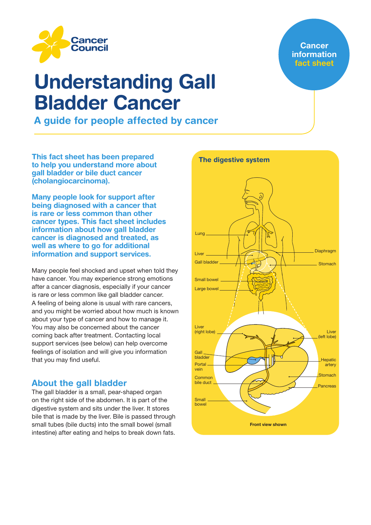

# Understanding Gall Bladder Cancer

A guide for people affected by cancer

This fact sheet has been prepared to help you understand more about gall bladder or bile duct cancer (cholangiocarcinoma).

Many people look for support after being diagnosed with a cancer that is rare or less common than other cancer types. This fact sheet includes information about how gall bladder cancer is diagnosed and treated, as well as where to go for additional information and support services.

Many people feel shocked and upset when told they have cancer. You may experience strong emotions after a cancer diagnosis, especially if your cancer is rare or less common like gall bladder cancer. A feeling of being alone is usual with rare cancers, and you might be worried about how much is known about your type of cancer and how to manage it. You may also be concerned about the cancer coming back after treatment. Contacting local support services (see below) can help overcome feelings of isolation and will give you information that you may find useful.

# About the gall bladder

The gall bladder is a small, pear-shaped organ on the right side of the abdomen. It is part of the digestive system and sits under the liver. It stores bile that is made by the liver. Bile is passed through small tubes (bile ducts) into the small bowel (small intestine) after eating and helps to break down fats.



## **Cancer** information fact sheet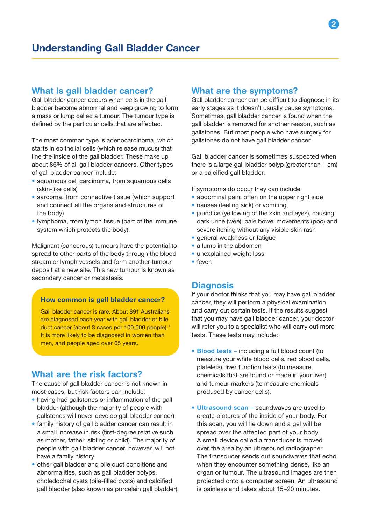## What is gall bladder cancer?

Gall bladder cancer occurs when cells in the gall bladder become abnormal and keep growing to form a mass or lump called a tumour. The tumour type is defined by the particular cells that are affected.

The most common type is adenocarcinoma, which starts in epithelial cells (which release mucus) that line the inside of the gall bladder. These make up about 85% of all gall bladder cancers. Other types of gall bladder cancer include:

- squamous cell carcinoma, from squamous cells (skin-like cells)
- sarcoma, from connective tissue (which support and connect all the organs and structures of the body)
- lymphoma, from lymph tissue (part of the immune system which protects the body).

Malignant (cancerous) tumours have the potential to spread to other parts of the body through the blood stream or lymph vessels and form another tumour deposit at a new site. This new tumour is known as secondary cancer or metastasis.

#### How common is gall bladder cancer?

Gall bladder cancer is rare. About 891 Australians are diagnosed each year with gall bladder or bile duct cancer (about 3 cases per 100,000 people).<sup>1</sup> It is more likely to be diagnosed in women than men, and people aged over 65 years.

## What are the risk factors?

The cause of gall bladder cancer is not known in most cases, but risk factors can include:

- having had gallstones or inflammation of the gall bladder (although the majority of people with gallstones will never develop gall bladder cancer)
- family history of gall bladder cancer can result in a small increase in risk (first-degree relative such as mother, father, sibling or child). The majority of people with gall bladder cancer, however, will not have a family history
- other gall bladder and bile duct conditions and abnormalities, such as gall bladder polyps, choledochal cysts (bile-filled cysts) and calcified gall bladder (also known as porcelain gall bladder).

## What are the symptoms?

Gall bladder cancer can be difficult to diagnose in its early stages as it doesn't usually cause symptoms. Sometimes, gall bladder cancer is found when the gall bladder is removed for another reason, such as gallstones. But most people who have surgery for gallstones do not have gall bladder cancer.

Gall bladder cancer is sometimes suspected when there is a large gall bladder polyp (greater than 1 cm) or a calcified gall bladder.

If symptoms do occur they can include:

- abdominal pain, often on the upper right side
- nausea (feeling sick) or vomiting
- jaundice (yellowing of the skin and eyes), causing dark urine (wee), pale bowel movements (poo) and severe itching without any visible skin rash
- general weakness or fatigue
- a lump in the abdomen
- unexplained weight loss
- fever.

## **Diagnosis**

If your doctor thinks that you may have gall bladder cancer, they will perform a physical examination and carry out certain tests. If the results suggest that you may have gall bladder cancer, your doctor will refer you to a specialist who will carry out more tests. These tests may include:

- Blood tests including a full blood count (to measure your white blood cells, red blood cells, platelets), liver function tests (to measure chemicals that are found or made in your liver) and tumour markers (to measure chemicals produced by cancer cells).
- Ultrasound scan soundwaves are used to create pictures of the inside of your body. For this scan, you will lie down and a gel will be spread over the affected part of your body. A small device called a transducer is moved over the area by an ultrasound radiographer. The transducer sends out soundwaves that echo when they encounter something dense, like an organ or tumour. The ultrasound images are then projected onto a computer screen. An ultrasound is painless and takes about 15–20 minutes.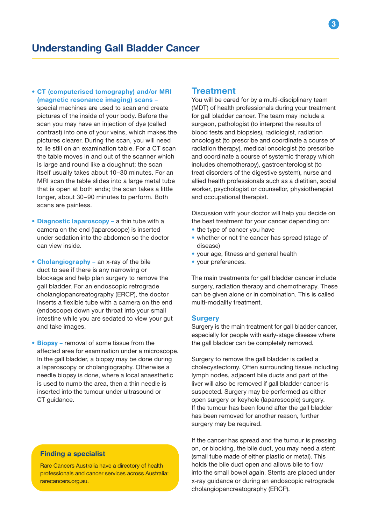• CT (computerised tomography) and/or MRI (magnetic resonance imaging) scans –

special machines are used to scan and create pictures of the inside of your body. Before the scan you may have an injection of dye (called contrast) into one of your veins, which makes the pictures clearer. During the scan, you will need to lie still on an examination table. For a CT scan the table moves in and out of the scanner which is large and round like a doughnut; the scan itself usually takes about 10–30 minutes. For an MRI scan the table slides into a large metal tube that is open at both ends; the scan takes a little longer, about 30–90 minutes to perform. Both scans are painless.

- Diagnostic laparoscopy a thin tube with a camera on the end (laparoscope) is inserted under sedation into the abdomen so the doctor can view inside.
- Cholangiography an x-ray of the bile duct to see if there is any narrowing or blockage and help plan surgery to remove the gall bladder. For an endoscopic retrograde cholangiopancreatography (ERCP), the doctor inserts a flexible tube with a camera on the end (endoscope) down your throat into your small intestine while you are sedated to view your gut and take images.
- Biopsy removal of some tissue from the affected area for examination under a microscope. In the gall bladder, a biopsy may be done during a laparoscopy or cholangiography. Otherwise a needle biopsy is done, where a local anaesthetic is used to numb the area, then a thin needle is inserted into the tumour under ultrasound or CT guidance.

## Finding a specialist

Rare Cancers Australia have a directory of health professionals and cancer services across Australia: rarecancers.org.au.

#### **Treatment**

You will be cared for by a multi-disciplinary team (MDT) of health professionals during your treatment for gall bladder cancer. The team may include a surgeon, pathologist (to interpret the results of blood tests and biopsies), radiologist, radiation oncologist (to prescribe and coordinate a course of radiation therapy), medical oncologist (to prescribe and coordinate a course of systemic therapy which includes chemotherapy), gastroenterologist (to treat disorders of the digestive system), nurse and allied health professionals such as a dietitian, social worker, psychologist or counsellor, physiotherapist and occupational therapist.

Discussion with your doctor will help you decide on the best treatment for your cancer depending on:

- the type of cancer you have
- whether or not the cancer has spread (stage of disease)
- your age, fitness and general health
- your preferences.

The main treatments for gall bladder cancer include surgery, radiation therapy and chemotherapy. These can be given alone or in combination. This is called multi-modality treatment.

#### **Surgery**

Surgery is the main treatment for gall bladder cancer, especially for people with early-stage disease where the gall bladder can be completely removed.

Surgery to remove the gall bladder is called a cholecystectomy. Often surrounding tissue including lymph nodes, adjacent bile ducts and part of the liver will also be removed if gall bladder cancer is suspected. Surgery may be performed as either open surgery or keyhole (laparoscopic) surgery. If the tumour has been found after the gall bladder has been removed for another reason, further surgery may be required.

If the cancer has spread and the tumour is pressing on, or blocking, the bile duct, you may need a stent (small tube made of either plastic or metal). This holds the bile duct open and allows bile to flow into the small bowel again. Stents are placed under x-ray guidance or during an endoscopic retrograde cholangiopancreatography (ERCP).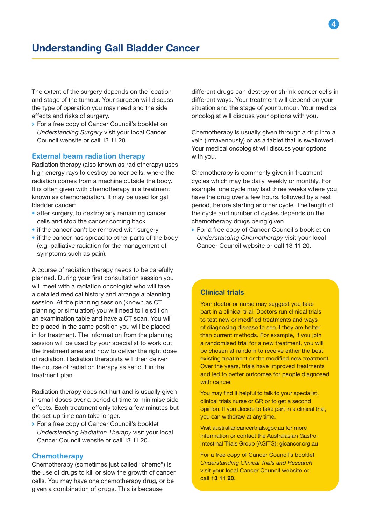The extent of the surgery depends on the location and stage of the tumour. Your surgeon will discuss the type of operation you may need and the side effects and risks of surgery.

→ For a free copy of Cancer Council's booklet on *Understanding Surgery* visit your local Cancer Council website or call 13 11 20.

#### External beam radiation therapy

Radiation therapy (also known as radiotherapy) uses high energy rays to destroy cancer cells, where the radiation comes from a machine outside the body. It is often given with chemotherapy in a treatment known as chemoradiation. It may be used for gall bladder cancer:

- after surgery, to destroy any remaining cancer cells and stop the cancer coming back
- if the cancer can't be removed with surgery
- if the cancer has spread to other parts of the body (e.g. palliative radiation for the management of symptoms such as pain).

A course of radiation therapy needs to be carefully planned. During your first consultation session you will meet with a radiation oncologist who will take a detailed medical history and arrange a planning session. At the planning session (known as CT planning or simulation) you will need to lie still on an examination table and have a CT scan. You will be placed in the same position you will be placed in for treatment. The information from the planning session will be used by your specialist to work out the treatment area and how to deliver the right dose of radiation. Radiation therapists will then deliver the course of radiation therapy as set out in the treatment plan.

Radiation therapy does not hurt and is usually given in small doses over a period of time to minimise side effects. Each treatment only takes a few minutes but the set-up time can take longer.

→ For a free copy of Cancer Council's booklet *Understanding Radiation Therapy* visit your local Cancer Council website or call 13 11 20.

#### **Chemotherapy**

Chemotherapy (sometimes just called "chemo") is the use of drugs to kill or slow the growth of cancer cells. You may have one chemotherapy drug, or be given a combination of drugs. This is because

different drugs can destroy or shrink cancer cells in different ways. Your treatment will depend on your situation and the stage of your tumour. Your medical oncologist will discuss your options with you.

Chemotherapy is usually given through a drip into a vein (intravenously) or as a tablet that is swallowed. Your medical oncologist will discuss your options with you.

Chemotherapy is commonly given in treatment cycles which may be daily, weekly or monthly. For example, one cycle may last three weeks where you have the drug over a few hours, followed by a rest period, before starting another cycle. The length of the cycle and number of cycles depends on the chemotherapy drugs being given.

→ For a free copy of Cancer Council's booklet on *Understanding Chemotherapy* visit your local Cancer Council website or call 13 11 20.

#### Clinical trials

Your doctor or nurse may suggest you take part in a clinical trial. Doctors run clinical trials to test new or modified treatments and ways of diagnosing disease to see if they are better than current methods. For example, if you join a randomised trial for a new treatment, you will be chosen at random to receive either the best existing treatment or the modified new treatment. Over the years, trials have improved treatments and led to better outcomes for people diagnosed with cancer.

You may find it helpful to talk to your specialist, clinical trials nurse or GP, or to get a second opinion. If you decide to take part in a clinical trial, you can withdraw at any time.

Visit australiancancertrials.gov.au for more information or contact the Australasian Gastro-Intestinal Trials Group (AGITG): gicancer.org.au

For a free copy of Cancer Council's booklet *Understanding Clinical Trials and Research* visit your local Cancer Council website or call 13 11 20.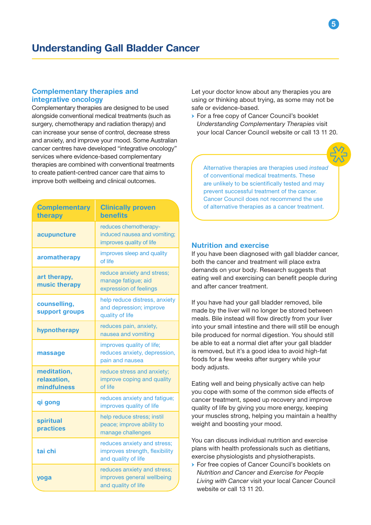#### Complementary therapies and integrative oncology

Complementary therapies are designed to be used alongside conventional medical treatments (such as surgery, chemotherapy and radiation therapy) and can increase your sense of control, decrease stress and anxiety, and improve your mood. Some Australian cancer centres have developed "integrative oncology" services where evidence-based complementary therapies are combined with conventional treatments to create patient-centred cancer care that aims to improve both wellbeing and clinical outcomes.

| <b>Complementary</b><br>therapy           | <b>Clinically proven</b><br><b>benefits</b>                                          |
|-------------------------------------------|--------------------------------------------------------------------------------------|
| acupuncture                               | reduces chemotherapy-<br>induced nausea and vomiting;<br>improves quality of life    |
| aromatherapy                              | improves sleep and quality<br>of life                                                |
| art therapy,<br>music therapy             | reduce anxiety and stress;<br>manage fatigue; aid<br>expression of feelings          |
| counselling,<br>support groups            | help reduce distress, anxiety<br>and depression; improve<br>quality of life          |
| hypnotherapy                              | reduces pain, anxiety,<br>nausea and vomiting                                        |
| massage                                   | improves quality of life;<br>reduces anxiety, depression,<br>pain and nausea         |
| meditation,<br>relaxation,<br>mindfulness | reduce stress and anxiety;<br>improve coping and quality<br>of life                  |
| qi gong                                   | reduces anxiety and fatigue;<br>improves quality of life                             |
| spiritual<br>practices                    | help reduce stress; instil<br>peace; improve ability to<br>manage challenges         |
| tai chi                                   | reduces anxiety and stress;<br>improves strength, flexibility<br>and quality of life |
| yoga                                      | reduces anxiety and stress;<br>improves general wellbeing<br>and quality of life     |

Let your doctor know about any therapies you are using or thinking about trying, as some may not be safe or evidence-based.

→ For a free copy of Cancer Council's booklet *Understanding Complementary Therapies* visit your local Cancer Council website or call 13 11 20.



Alternative therapies are therapies used *instead*  of conventional medical treatments. These are unlikely to be scientifically tested and may prevent successful treatment of the cancer. Cancer Council does not recommend the use of alternative therapies as a cancer treatment.

#### Nutrition and exercise

If you have been diagnosed with gall bladder cancer, both the cancer and treatment will place extra demands on your body. Research suggests that eating well and exercising can benefit people during and after cancer treatment.

If you have had your gall bladder removed, bile made by the liver will no longer be stored between meals. Bile instead will flow directly from your liver into your small intestine and there will still be enough bile produced for normal digestion. You should still be able to eat a normal diet after your gall bladder is removed, but it's a good idea to avoid high-fat foods for a few weeks after surgery while your body adjusts.

Eating well and being physically active can help you cope with some of the common side effects of cancer treatment, speed up recovery and improve quality of life by giving you more energy, keeping your muscles strong, helping you maintain a healthy weight and boosting your mood.

You can discuss individual nutrition and exercise plans with health professionals such as dietitians, exercise physiologists and physiotherapists.

→ For free copies of Cancer Council's booklets on *Nutrition and Cancer* and *Exercise for People Living with Cancer* visit your local Cancer Council website or call 13 11 20.

5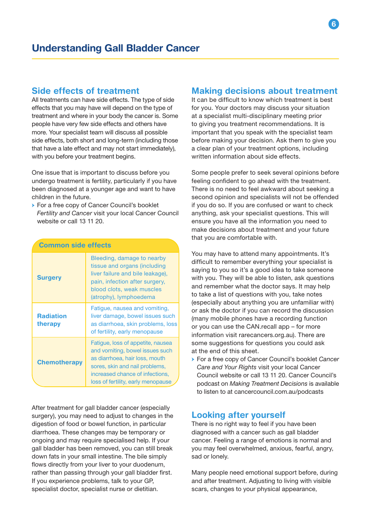## Side effects of treatment

All treatments can have side effects. The type of side effects that you may have will depend on the type of treatment and where in your body the cancer is. Some people have very few side effects and others have more. Your specialist team will discuss all possible side effects, both short and long-term (including those that have a late effect and may not start immediately), with you before your treatment begins.

One issue that is important to discuss before you undergo treatment is fertility, particularly if you have been diagnosed at a younger age and want to have children in the future.

→ For a free copy of Cancer Council's booklet *Fertility and Cancer* visit your local Cancer Council website or call 13 11 20.

| <b>Common side effects</b>  |                                                                                                                                                                                                                   |
|-----------------------------|-------------------------------------------------------------------------------------------------------------------------------------------------------------------------------------------------------------------|
| <b>Surgery</b>              | Bleeding, damage to nearby<br>tissue and organs (including<br>liver failure and bile leakage),<br>pain, infection after surgery,<br>blood clots, weak muscles<br>(atrophy), lymphoedema                           |
| <b>Radiation</b><br>therapy | Fatigue, nausea and vomiting,<br>liver damage, bowel issues such<br>as diarrhoea, skin problems, loss<br>of fertility, early menopause                                                                            |
| <b>Chemotherapy</b>         | Fatigue, loss of appetite, nausea<br>and vomiting, bowel issues such<br>as diarrhoea, hair loss, mouth<br>sores, skin and nail problems,<br>increased chance of infections,<br>loss of fertility, early menopause |

After treatment for gall bladder cancer (especially surgery), you may need to adjust to changes in the digestion of food or bowel function, in particular diarrhoea. These changes may be temporary or ongoing and may require specialised help. If your gall bladder has been removed, you can still break down fats in your small intestine. The bile simply flows directly from your liver to your duodenum, rather than passing through your gall bladder first. If you experience problems, talk to your GP, specialist doctor, specialist nurse or dietitian.

## Making decisions about treatment

It can be difficult to know which treatment is best for you. Your doctors may discuss your situation at a specialist multi-disciplinary meeting prior to giving you treatment recommendations. It is important that you speak with the specialist team before making your decision. Ask them to give you a clear plan of your treatment options, including written information about side effects.

Some people prefer to seek several opinions before feeling confident to go ahead with the treatment. There is no need to feel awkward about seeking a second opinion and specialists will not be offended if you do so. If you are confused or want to check anything, ask your specialist questions. This will ensure you have all the information you need to make decisions about treatment and your future that you are comfortable with.

You may have to attend many appointments. It's difficult to remember everything your specialist is saying to you so it's a good idea to take someone with you. They will be able to listen, ask questions and remember what the doctor says. It may help to take a list of questions with you, take notes (especially about anything you are unfamiliar with) or ask the doctor if you can record the discussion (many mobile phones have a recording function or you can use the CAN.recall app – for more information visit rarecancers.org.au). There are some suggestions for questions you could ask at the end of this sheet.

→ For a free copy of Cancer Council's booklet *Cancer Care and Your Rights* visit your local Cancer Council website or call 13 11 20. Cancer Council's podcast on *Making Treatment Decisions* is available to listen to at cancercouncil.com.au/podcasts

## Looking after yourself

There is no right way to feel if you have been diagnosed with a cancer such as gall bladder cancer. Feeling a range of emotions is normal and you may feel overwhelmed, anxious, fearful, angry, sad or lonely.

Many people need emotional support before, during and after treatment. Adjusting to living with visible scars, changes to your physical appearance,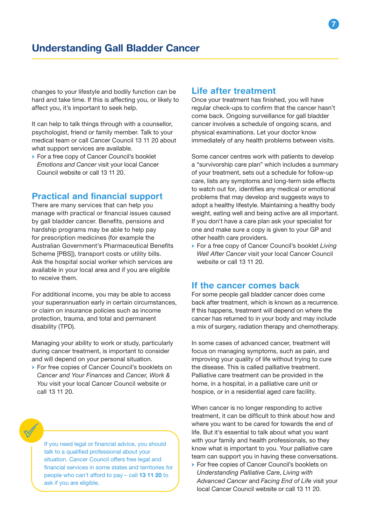changes to your lifestyle and bodily function can be hard and take time. If this is affecting you, or likely to affect you, it's important to seek help.

It can help to talk things through with a counsellor, psychologist, friend or family member. Talk to your medical team or call Cancer Council 13 11 20 about what support services are available.

→ For a free copy of Cancer Council's booklet *Emotions and Cancer* visit your local Cancer Council website or call 13 11 20.

# Practical and financial support

There are many services that can help you manage with practical or financial issues caused by gall bladder cancer. Benefits, pensions and hardship programs may be able to help pay for prescription medicines (for example the Australian Government's Pharmaceutical Benefits Scheme [PBS]), transport costs or utility bills. Ask the hospital social worker which services are available in your local area and if you are eligible to receive them.

For additional income, you may be able to access your superannuation early in certain circumstances, or claim on insurance policies such as income protection, trauma, and total and permanent disability (TPD).

Managing your ability to work or study, particularly during cancer treatment, is important to consider and will depend on your personal situation.

→ For free copies of Cancer Council's booklets on *Cancer and Your Finances* and *Cancer, Work & You* visit your local Cancer Council website or call 13 11 20.

If you need legal or financial advice, you should talk to a qualified professional about your situation. Cancer Council offers free legal and financial services in some states and territories for people who can't afford to pay – call 13 11 20 to ask if you are eligible.

## Life after treatment

Once your treatment has finished, you will have regular check-ups to confirm that the cancer hasn't come back. Ongoing surveillance for gall bladder cancer involves a schedule of ongoing scans, and physical examinations. Let your doctor know immediately of any health problems between visits.

Some cancer centres work with patients to develop a "survivorship care plan" which includes a summary of your treatment, sets out a schedule for follow-up care, lists any symptoms and long-term side effects to watch out for, identifies any medical or emotional problems that may develop and suggests ways to adopt a healthy lifestyle. Maintaining a healthy body weight, eating well and being active are all important. If you don't have a care plan ask your specialist for one and make sure a copy is given to your GP and other health care providers.

→ For a free copy of Cancer Council's booklet *Living Well After Cancer* visit your local Cancer Council website or call 13 11 20.

## If the cancer comes back

For some people gall bladder cancer does come back after treatment, which is known as a recurrence. If this happens, treatment will depend on where the cancer has returned to in your body and may include a mix of surgery, radiation therapy and chemotherapy.

In some cases of advanced cancer, treatment will focus on managing symptoms, such as pain, and improving your quality of life without trying to cure the disease. This is called palliative treatment. Palliative care treatment can be provided in the home, in a hospital, in a palliative care unit or hospice, or in a residential aged care facility.

When cancer is no longer responding to active treatment, it can be difficult to think about how and where you want to be cared for towards the end of life. But it's essential to talk about what you want with your family and health professionals, so they know what is important to you. Your palliative care team can support you in having these conversations.

→ For free copies of Cancer Council's booklets on *Understanding Palliative Care*, *Living with Advanced Cancer* and *Facing End of Life* visit your local Cancer Council website or call 13 11 20.

7